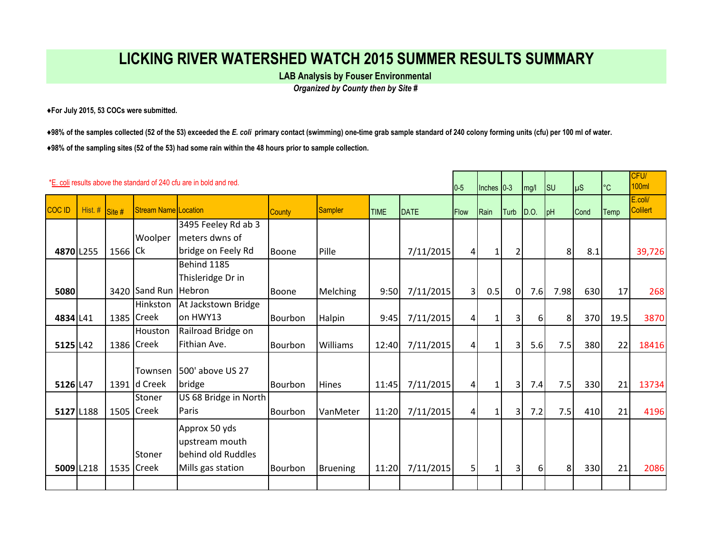## **LICKING RIVER WATERSHED WATCH 2015 SUMMER RESULTS SUMMARY**

**LAB Analysis by Fouser Environmental** 

*Organized by County then by Site #*

**♦For July 2015, 53 COCs were submitted.** 

**♦98% of the samples collected (52 of the 53) exceeded the** *E. coli* **primary contact (swimming) one-time grab sample standard of 240 colony forming units (cfu) per 100 ml of water. ♦98% of the sampling sites (52 of the 53) had some rain within the 48 hours prior to sample collection.** 

|               |           |                            |                         | *E. coli results above the standard of 240 cfu are in bold and red.        |                |                 |             |             | $0-5$           | $ $ Inches $ 0-3 $ |                | mg/l     | $\textsf{I}$ su | $\mu$ S | °C   | CFU/<br><b>100ml</b>       |
|---------------|-----------|----------------------------|-------------------------|----------------------------------------------------------------------------|----------------|-----------------|-------------|-------------|-----------------|--------------------|----------------|----------|-----------------|---------|------|----------------------------|
| <b>COC ID</b> | Hist. #   | $\overline{\text{Site\#}}$ | Stream Name Location    |                                                                            | <b>County</b>  | Sampler         | <b>TIME</b> | <b>DATE</b> | <b>Flow</b>     | Rain               | Turb           | D.O.     | pH              | Cond    | Temp | E.coli/<br><b>Colilert</b> |
| 4870 L255     |           | 1566 Ck                    | Woolper                 | 3495 Feeley Rd ab 3<br>meters dwns of<br>bridge on Feely Rd                | Boone          | Pille           |             | 7/11/2015   | $\vert$         | 1 <sup>1</sup>     |                |          | 8               | 8.1     |      | 39,726                     |
| 5080          |           |                            | 3420 Sand Run Hebron    | Behind 1185<br>Thisleridge Dr in                                           | Boone          | <b>Melching</b> | 9:50        | 7/11/2015   | $\overline{3}$  | 0.5                | $\Omega$       | 7.6      | 7.98            | 630     | 17   | 268                        |
| 4834 L41      |           |                            | Hinkston<br>1385 Creek  | At Jackstown Bridge<br>on HWY13                                            | Bourbon        | Halpin          | 9:45        | 7/11/2015   | $\vert 4 \vert$ | 1 <sup>1</sup>     |                | $6 \mid$ | 8 <sup>2</sup>  | 370     | 19.5 | 3870                       |
| 5125 L42      |           |                            | Houston<br>1386 Creek   | Railroad Bridge on<br>Fithian Ave.                                         | Bourbon        | Williams        | 12:40       | 7/11/2015   | $\vert$         | 11                 | 3              | 5.6      | 7.5             | 380     | 22   | 18416                      |
| 5126 L47      |           |                            | Townsen<br>1391 d Creek | 1500' above US 27<br>bridge                                                | <b>Bourbon</b> | <b>Hines</b>    | 11:45       | 7/11/2015   | $\vert$         | 1 <sup>1</sup>     | $\overline{3}$ | 7.4      | 7.5             | 330     | 21   | 13734                      |
|               | 5127 L188 |                            | Stoner<br>1505 Creek    | US 68 Bridge in North<br>Paris                                             | Bourbon        | VanMeter        | 11:20       | 7/11/2015   | 4               | 1 <sup>1</sup>     | $\overline{3}$ | 7.2      | 7.5             | 410     | 21   | 4196                       |
|               | 5009 L218 |                            | Stoner<br>1535 Creek    | Approx 50 yds<br>upstream mouth<br>behind old Ruddles<br>Mills gas station | Bourbon        | <b>Bruening</b> | 11:20       | 7/11/2015   | 5 <sup>1</sup>  |                    | 3              | $6 \mid$ | 8               | 330     | 21   | 2086                       |
|               |           |                            |                         |                                                                            |                |                 |             |             |                 |                    |                |          |                 |         |      |                            |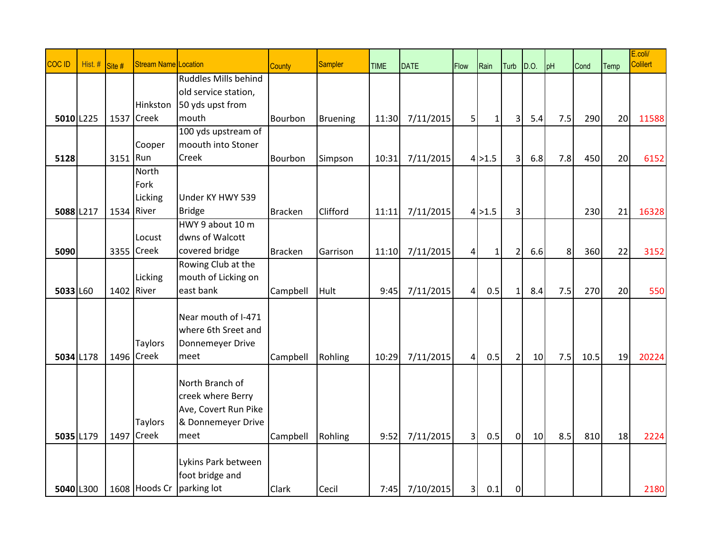| COC ID    | Hist. # | Site #     | <b>Stream Name Location</b> |                      | <b>County</b>  | Sampler         | <b>TIME</b> | <b>DATE</b> | Flow           | Rain         | Turb           | D.O. | pH  | Cond | Temp | E.coli/<br><b>Colilert</b> |
|-----------|---------|------------|-----------------------------|----------------------|----------------|-----------------|-------------|-------------|----------------|--------------|----------------|------|-----|------|------|----------------------------|
|           |         |            |                             | Ruddles Mills behind |                |                 |             |             |                |              |                |      |     |      |      |                            |
|           |         |            |                             | old service station, |                |                 |             |             |                |              |                |      |     |      |      |                            |
|           |         |            | Hinkston                    | 50 yds upst from     |                |                 |             |             |                |              |                |      |     |      |      |                            |
| 5010 L225 |         | 1537       | <b>Creek</b>                | mouth                | Bourbon        | <b>Bruening</b> | 11:30       | 7/11/2015   | 5 <sup>1</sup> | $\mathbf{1}$ | 3              | 5.4  | 7.5 | 290  | 20   | 11588                      |
|           |         |            |                             | 100 yds upstream of  |                |                 |             |             |                |              |                |      |     |      |      |                            |
|           |         |            | Cooper                      | moouth into Stoner   |                |                 |             |             |                |              |                |      |     |      |      |                            |
| 5128      |         | 3151 Run   |                             | Creek                | Bourbon        | Simpson         | 10:31       | 7/11/2015   |                | 4 >1.5       | 3              | 6.8  | 7.8 | 450  | 20   | 6152                       |
|           |         |            | North                       |                      |                |                 |             |             |                |              |                |      |     |      |      |                            |
|           |         |            | Fork                        |                      |                |                 |             |             |                |              |                |      |     |      |      |                            |
|           |         |            | Licking                     | Under KY HWY 539     |                |                 |             |             |                |              |                |      |     |      |      |                            |
| 5088 L217 |         | 1534 River |                             | <b>Bridge</b>        | <b>Bracken</b> | Clifford        | 11:11       | 7/11/2015   |                | $4$ > 1.5    | 3              |      |     | 230  | 21   | 16328                      |
|           |         |            |                             | HWY 9 about 10 m     |                |                 |             |             |                |              |                |      |     |      |      |                            |
|           |         |            | Locust                      | dwns of Walcott      |                |                 |             |             |                |              |                |      |     |      |      |                            |
| 5090      |         |            | 3355 Creek                  | covered bridge       | <b>Bracken</b> | Garrison        | 11:10       | 7/11/2015   | $\vert$        | $\mathbf{1}$ | $\overline{2}$ | 6.6  | 8   | 360  | 22   | 3152                       |
|           |         |            |                             | Rowing Club at the   |                |                 |             |             |                |              |                |      |     |      |      |                            |
|           |         |            | Licking                     | mouth of Licking on  |                |                 |             |             |                |              |                |      |     |      |      |                            |
| 5033 L60  |         | 1402       | River                       | east bank            | Campbell       | Hult            | 9:45        | 7/11/2015   | 4 <sup>1</sup> | 0.5          | $\mathbf{1}$   | 8.4  | 7.5 | 270  | 20   | 550                        |
|           |         |            |                             | Near mouth of I-471  |                |                 |             |             |                |              |                |      |     |      |      |                            |
|           |         |            |                             | where 6th Sreet and  |                |                 |             |             |                |              |                |      |     |      |      |                            |
|           |         |            | <b>Taylors</b>              | Donnemeyer Drive     |                |                 |             |             |                |              |                |      |     |      |      |                            |
| 5034 L178 |         |            | 1496 Creek                  | meet                 | Campbell       | Rohling         | 10:29       | 7/11/2015   | $\overline{4}$ | 0.5          | $\overline{2}$ | 10   | 7.5 | 10.5 | 19   | 20224                      |
|           |         |            |                             |                      |                |                 |             |             |                |              |                |      |     |      |      |                            |
|           |         |            |                             | North Branch of      |                |                 |             |             |                |              |                |      |     |      |      |                            |
|           |         |            |                             | creek where Berry    |                |                 |             |             |                |              |                |      |     |      |      |                            |
|           |         |            |                             | Ave, Covert Run Pike |                |                 |             |             |                |              |                |      |     |      |      |                            |
|           |         |            | <b>Taylors</b>              | & Donnemeyer Drive   |                |                 |             |             |                |              |                |      |     |      |      |                            |
| 5035 L179 |         | 1497       | <b>Creek</b>                | meet                 | Campbell       | Rohling         | 9:52        | 7/11/2015   | $\overline{3}$ | 0.5          | $\overline{0}$ | 10   | 8.5 | 810  | 18   | 2224                       |
|           |         |            |                             |                      |                |                 |             |             |                |              |                |      |     |      |      |                            |
|           |         |            |                             | Lykins Park between  |                |                 |             |             |                |              |                |      |     |      |      |                            |
|           |         |            |                             | foot bridge and      |                |                 |             |             |                |              |                |      |     |      |      |                            |
| 5040 L300 |         |            | 1608 Hoods Cr               | parking lot          | <b>Clark</b>   | Cecil           | 7:45        | 7/10/2015   | 3 <sup>1</sup> | 0.1          | $\pmb{0}$      |      |     |      |      | 2180                       |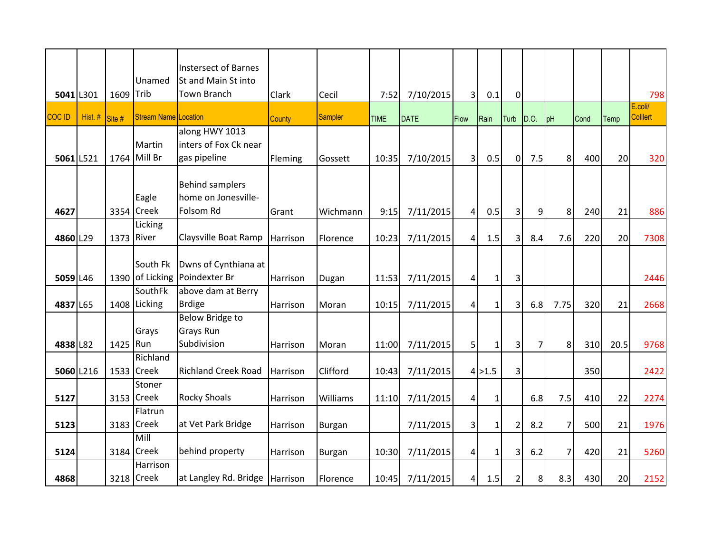|               |         |           |                      | <b>Instersect of Barnes</b>                   |          |                |             |             |                |              |                |                |                |      |      |                            |
|---------------|---------|-----------|----------------------|-----------------------------------------------|----------|----------------|-------------|-------------|----------------|--------------|----------------|----------------|----------------|------|------|----------------------------|
|               |         |           | Unamed               | St and Main St into                           |          |                |             |             |                |              |                |                |                |      |      |                            |
| 5041 L301     |         | 1609 Trib |                      | <b>Town Branch</b>                            | Clark    | Cecil          | 7:52        | 7/10/2015   | $\overline{3}$ | 0.1          | $\overline{0}$ |                |                |      |      | 798                        |
| <b>COC ID</b> | Hist. # | Site#     | Stream Name Location |                                               | County   | <b>Sampler</b> | <b>TIME</b> | <b>DATE</b> | Flow           | Rain         | Turb           | D.O.           | pH             | Cond | Temp | E.coli/<br><b>Colilert</b> |
|               |         |           |                      | along HWY 1013                                |          |                |             |             |                |              |                |                |                |      |      |                            |
|               |         |           | Martin               | inters of Fox Ck near                         |          |                |             |             |                |              |                |                |                |      |      |                            |
| 5061 L521     |         |           | 1764 Mill Br         | gas pipeline                                  | Fleming  | Gossett        | 10:35       | 7/10/2015   | $\overline{3}$ | 0.5          | $\overline{0}$ | 7.5            | 8 <sup>1</sup> | 400  | 20   | 320                        |
|               |         |           |                      |                                               |          |                |             |             |                |              |                |                |                |      |      |                            |
|               |         |           | Eagle                | <b>Behind samplers</b><br>home on Jonesville- |          |                |             |             |                |              |                |                |                |      |      |                            |
| 4627          |         |           | 3354 Creek           | Folsom Rd                                     | Grant    | Wichmann       | 9:15        |             |                | 0.5          |                |                | 8 <sup>1</sup> | 240  | 21   | 886                        |
|               |         |           | Licking              |                                               |          |                |             | 7/11/2015   | 4              |              | 3              | $\overline{9}$ |                |      |      |                            |
| 4860 L29      |         | 1373      | River                | Claysville Boat Ramp                          | Harrison | Florence       | 10:23       | 7/11/2015   | 4 <sup>1</sup> | 1.5          | 3              | 8.4            | 7.6            | 220  | 20   | 7308                       |
|               |         |           |                      |                                               |          |                |             |             |                |              |                |                |                |      |      |                            |
|               |         |           | South Fk             | Dwns of Cynthiana at                          |          |                |             |             |                |              |                |                |                |      |      |                            |
| 5059 L46      |         |           |                      | 1390 of Licking Poindexter Br                 | Harrison | Dugan          | 11:53       | 7/11/2015   | $\vert$        | $\mathbf{1}$ | 3              |                |                |      |      | 2446                       |
|               |         |           | SouthFk              | above dam at Berry                            |          |                |             |             |                |              |                |                |                |      |      |                            |
| 4837 L65      |         |           | 1408 Licking         | <b>Brdige</b>                                 | Harrison | Moran          | 10:15       | 7/11/2015   | $\vert$        | $\mathbf{1}$ | 3              | 6.8            | 7.75           | 320  | 21   | 2668                       |
|               |         |           |                      | <b>Below Bridge to</b>                        |          |                |             |             |                |              |                |                |                |      |      |                            |
|               |         |           | Grays                | Grays Run                                     |          |                |             |             |                |              |                |                |                |      |      |                            |
| 4838 L82      |         | 1425 Run  |                      | Subdivision                                   | Harrison | Moran          | 11:00       | 7/11/2015   | $\overline{5}$ | $\mathbf{1}$ | 3              | $\overline{7}$ | 8 <sup>1</sup> | 310  | 20.5 | 9768                       |
|               |         |           | Richland             |                                               |          |                |             |             |                |              |                |                |                |      |      |                            |
| 5060 L216     |         |           | 1533 Creek           | <b>Richland Creek Road</b>                    | Harrison | Clifford       | 10:43       | 7/11/2015   |                | $4$ > 1.5    | 3              |                |                | 350  |      | 2422                       |
|               |         |           | Stoner<br>3153 Creek | <b>Rocky Shoals</b>                           |          |                |             |             |                |              |                |                |                |      |      |                            |
| 5127          |         |           | Flatrun              |                                               | Harrison | Williams       | 11:10       | 7/11/2015   | 4              | $\mathbf{1}$ |                | 6.8            | 7.5            | 410  | 22   | 2274                       |
| 5123          |         |           | 3183 Creek           | at Vet Park Bridge                            | Harrison |                |             | 7/11/2015   | $\overline{3}$ | $\mathbf{1}$ | $\overline{2}$ | 8.2            | 7              | 500  | 21   | 1976                       |
|               |         |           | Mill                 |                                               |          | <b>Burgan</b>  |             |             |                |              |                |                |                |      |      |                            |
| 5124          |         |           | 3184 Creek           | behind property                               | Harrison | <b>Burgan</b>  | 10:30       | 7/11/2015   | $\mathbf{4}$   | 1            | 3              | 6.2            | $\overline{7}$ | 420  | 21   | 5260                       |
|               |         |           | Harrison             |                                               |          |                |             |             |                |              |                |                |                |      |      |                            |
| 4868          |         |           | 3218 Creek           | at Langley Rd. Bridge                         | Harrison | Florence       | 10:45       | 7/11/2015   | 41             | 1.5          | $\overline{2}$ | 8              | 8.3            | 430  | 20   | 2152                       |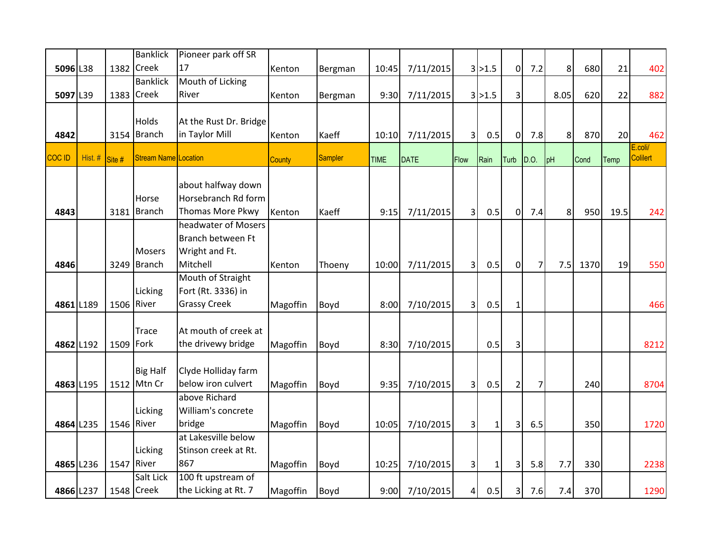|           |         |            | <b>Banklick</b>             | Pioneer park off SR     |               |         |             |             |                |              |                |                |                |      |      |                            |
|-----------|---------|------------|-----------------------------|-------------------------|---------------|---------|-------------|-------------|----------------|--------------|----------------|----------------|----------------|------|------|----------------------------|
| 5096 L38  |         | 1382       | <b>Creek</b>                | 17                      | Kenton        | Bergman | 10:45       | 7/11/2015   |                | 3 >1.5       | $\overline{0}$ | 7.2            | 8 <sup>1</sup> | 680  | 21   | 402                        |
|           |         |            | <b>Banklick</b>             | Mouth of Licking        |               |         |             |             |                |              |                |                |                |      |      |                            |
| 5097 L39  |         |            | 1383 Creek                  | River                   | Kenton        | Bergman | 9:30        | 7/11/2015   |                | 3 >1.5       | 3              |                | 8.05           | 620  | 22   | 882                        |
|           |         |            |                             |                         |               |         |             |             |                |              |                |                |                |      |      |                            |
|           |         |            | Holds                       | At the Rust Dr. Bridge  |               |         |             |             |                |              |                |                |                |      |      |                            |
| 4842      |         |            | 3154 Branch                 | in Taylor Mill          | Kenton        | Kaeff   | 10:10       | 7/11/2015   | 3              | 0.5          | $\pmb{0}$      | 7.8            | 8 <sup>1</sup> | 870  | 20   | 462                        |
| COC ID    | Hist. # | Site #     | <b>Stream Name Location</b> |                         | <b>County</b> | Sampler | <b>TIME</b> | <b>DATE</b> | Flow           | Rain         | Turb           | D.O.           | pH             | Cond | Temp | E.coli/<br><b>Colilert</b> |
|           |         |            |                             |                         |               |         |             |             |                |              |                |                |                |      |      |                            |
|           |         |            |                             | about halfway down      |               |         |             |             |                |              |                |                |                |      |      |                            |
|           |         |            | Horse                       | Horsebranch Rd form     |               |         |             |             |                |              |                |                |                |      |      |                            |
| 4843      |         | 3181       | <b>Branch</b>               | <b>Thomas More Pkwy</b> | Kenton        | Kaeff   | 9:15        | 7/11/2015   | 3              | 0.5          | $\Omega$       | 7.4            | 8 <sup>1</sup> | 950  | 19.5 | 242                        |
|           |         |            |                             | headwater of Mosers     |               |         |             |             |                |              |                |                |                |      |      |                            |
|           |         |            |                             | Branch between Ft       |               |         |             |             |                |              |                |                |                |      |      |                            |
|           |         |            | <b>Mosers</b>               | Wright and Ft.          |               |         |             |             |                |              |                |                |                |      |      |                            |
| 4846      |         |            | 3249 Branch                 | Mitchell                | Kenton        | Thoeny  | 10:00       | 7/11/2015   | $\overline{3}$ | 0.5          | $\overline{0}$ | $\overline{7}$ | 7.5            | 1370 | 19   | 550                        |
|           |         |            |                             | Mouth of Straight       |               |         |             |             |                |              |                |                |                |      |      |                            |
|           |         |            | Licking                     | Fort (Rt. 3336) in      |               |         |             |             |                |              |                |                |                |      |      |                            |
| 4861 L189 |         | 1506 River |                             | <b>Grassy Creek</b>     | Magoffin      | Boyd    | 8:00        | 7/10/2015   | $\overline{3}$ | 0.5          | $\mathbf{1}$   |                |                |      |      | 466                        |
|           |         |            |                             | At mouth of creek at    |               |         |             |             |                |              |                |                |                |      |      |                            |
|           |         |            | <b>Trace</b>                | the drivewy bridge      |               |         |             |             |                |              |                |                |                |      |      |                            |
| 4862 L192 |         | 1509 Fork  |                             |                         | Magoffin      | Boyd    | 8:30        | 7/10/2015   |                | 0.5          | 3              |                |                |      |      | 8212                       |
|           |         |            | <b>Big Half</b>             | Clyde Holliday farm     |               |         |             |             |                |              |                |                |                |      |      |                            |
| 4863 L195 |         | 1512       | Mtn Cr                      | below iron culvert      | Magoffin      | Boyd    | 9:35        | 7/10/2015   | 3 <sup>1</sup> | 0.5          | $\overline{2}$ | 7              |                | 240  |      | 8704                       |
|           |         |            |                             | above Richard           |               |         |             |             |                |              |                |                |                |      |      |                            |
|           |         |            | Licking                     | William's concrete      |               |         |             |             |                |              |                |                |                |      |      |                            |
| 4864 L235 |         | 1546 River |                             | bridge                  | Magoffin      | Boyd    | 10:05       | 7/10/2015   | $\overline{3}$ | $\mathbf{1}$ | 3              | 6.5            |                | 350  |      | 1720                       |
|           |         |            |                             | at Lakesville below     |               |         |             |             |                |              |                |                |                |      |      |                            |
|           |         |            | Licking                     | Stinson creek at Rt.    |               |         |             |             |                |              |                |                |                |      |      |                            |
| 4865 L236 |         | 1547 River |                             | 867                     | Magoffin      | Boyd    | 10:25       | 7/10/2015   | $\overline{3}$ | $\mathbf 1$  | 3              | 5.8            | 7.7            | 330  |      | 2238                       |
|           |         |            | Salt Lick                   | 100 ft upstream of      |               |         |             |             |                |              |                |                |                |      |      |                            |
| 4866 L237 |         |            | 1548 Creek                  | the Licking at Rt. 7    | Magoffin      | Boyd    | 9:00        | 7/10/2015   | $\vert$        | 0.5          | 3              | 7.6            | 7.4            | 370  |      | 1290                       |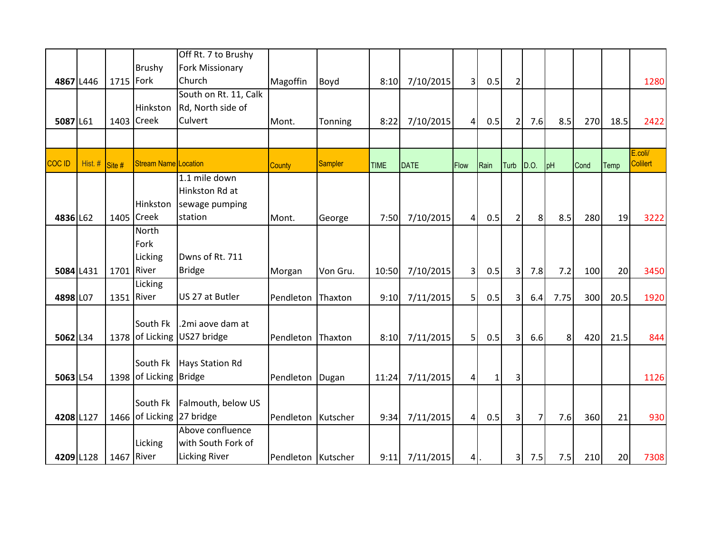|           |         |            |                             | Off Rt. 7 to Brushy   |                    |          |             |             |                |              |                         |                |                |      |      |                 |
|-----------|---------|------------|-----------------------------|-----------------------|--------------------|----------|-------------|-------------|----------------|--------------|-------------------------|----------------|----------------|------|------|-----------------|
|           |         |            | <b>Brushy</b>               | Fork Missionary       |                    |          |             |             |                |              |                         |                |                |      |      |                 |
| 4867 L446 |         | 1715       | Fork                        | Church                | Magoffin           | Boyd     | 8:10        | 7/10/2015   | 3 <sup>l</sup> | 0.5          | $\overline{2}$          |                |                |      |      | 1280            |
|           |         |            |                             | South on Rt. 11, Calk |                    |          |             |             |                |              |                         |                |                |      |      |                 |
|           |         |            | Hinkston                    | Rd, North side of     |                    |          |             |             |                |              |                         |                |                |      |      |                 |
| 5087 L61  |         |            | 1403 Creek                  | Culvert               | Mont.              | Tonning  | 8:22        | 7/10/2015   | $\vert$        | 0.5          | $\overline{2}$          | 7.6            | 8.5            | 270  | 18.5 | 2422            |
|           |         |            |                             |                       |                    |          |             |             |                |              |                         |                |                |      |      |                 |
|           |         |            |                             |                       |                    |          |             |             |                |              |                         |                |                |      |      | E.coli/         |
| COC ID    | Hist. # | Site#      | <b>Stream Name Location</b> |                       | <b>County</b>      | Sampler  | <b>TIME</b> | <b>DATE</b> | <b>Flow</b>    | Rain         | Turb                    | D.O.           | pH             | Cond | Temp | <b>Colilert</b> |
|           |         |            |                             | $1.1$ mile down       |                    |          |             |             |                |              |                         |                |                |      |      |                 |
|           |         |            |                             | Hinkston Rd at        |                    |          |             |             |                |              |                         |                |                |      |      |                 |
|           |         |            | Hinkston                    | sewage pumping        |                    |          |             |             |                |              |                         |                |                |      |      |                 |
| 4836 L62  |         | 1405       | <b>Creek</b>                | station               | Mont.              | George   | 7:50        | 7/10/2015   | $\vert$        | 0.5          | $\overline{2}$          | 8 <sup>1</sup> | 8.5            | 280  | 19   | 3222            |
|           |         |            | <b>North</b>                |                       |                    |          |             |             |                |              |                         |                |                |      |      |                 |
|           |         |            | Fork                        |                       |                    |          |             |             |                |              |                         |                |                |      |      |                 |
|           |         |            | Licking                     | Dwns of Rt. 711       |                    |          |             |             |                |              |                         |                |                |      |      |                 |
| 5084 L431 |         |            | 1701 River                  | <b>Bridge</b>         | Morgan             | Von Gru. | 10:50       | 7/10/2015   | 3              | 0.5          | 3                       | 7.8            | 7.2            | 100  | 20   | 3450            |
|           |         |            | Licking                     |                       |                    |          |             |             |                |              |                         |                |                |      |      |                 |
| 4898 L07  |         | 1351 River |                             | US 27 at Butler       | Pendleton          | Thaxton  | 9:10        | 7/11/2015   | 5 <sup>1</sup> | 0.5          | 3                       | 6.4            | 7.75           | 300  | 20.5 | 1920            |
|           |         |            |                             |                       |                    |          |             |             |                |              |                         |                |                |      |      |                 |
|           |         |            | South Fk                    | .2mi aove dam at      |                    |          |             |             |                |              |                         |                |                |      |      |                 |
| 5062 L34  |         |            | 1378 of Licking             | US27 bridge           | Pendleton          | Thaxton  | 8:10        | 7/11/2015   | 5 <sup>1</sup> | 0.5          | $\overline{3}$          | 6.6            | 8 <sup>1</sup> | 420  | 21.5 | 844             |
|           |         |            | South Fk                    | Hays Station Rd       |                    |          |             |             |                |              |                         |                |                |      |      |                 |
|           |         |            | 1398 of Licking Bridge      |                       |                    |          |             |             |                |              |                         |                |                |      |      |                 |
| 5063 L54  |         |            |                             |                       | Pendleton          | Dugan    | 11:24       | 7/11/2015   | $\vert$        | $\mathbf{1}$ | 3                       |                |                |      |      | 1126            |
|           |         |            | South Fk                    | Falmouth, below US    |                    |          |             |             |                |              |                         |                |                |      |      |                 |
| 4208 L127 |         |            | 1466 of Licking 27 bridge   |                       | Pendleton          | Kutscher | 9:34        | 7/11/2015   | $\vert$        | 0.5          | $\overline{3}$          | $\overline{7}$ | 7.6            | 360  | 21   | 930             |
|           |         |            |                             | Above confluence      |                    |          |             |             |                |              |                         |                |                |      |      |                 |
|           |         |            | Licking                     | with South Fork of    |                    |          |             |             |                |              |                         |                |                |      |      |                 |
| 4209 L128 |         |            | 1467 River                  | <b>Licking River</b>  | Pendleton Kutscher |          | 9:11        | 7/11/2015   | $4$ .          |              | $\overline{\mathbf{3}}$ | 7.5            | 7.5            | 210  | 20   | 7308            |